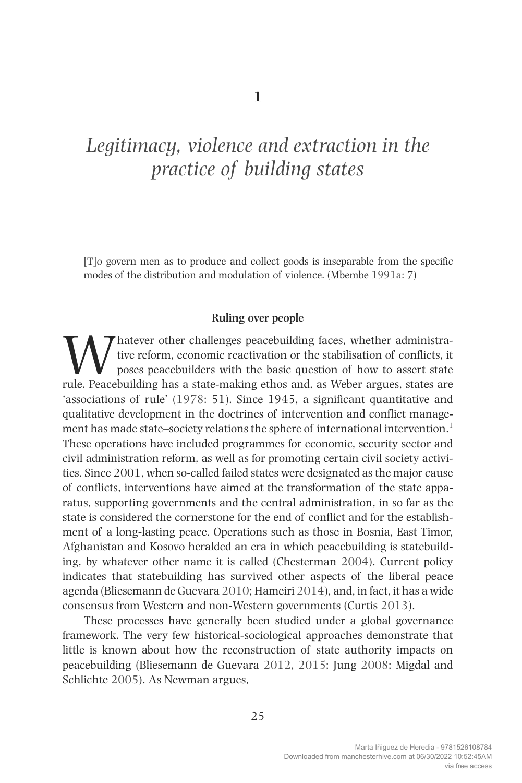# *Legitimacy, violence and extraction in the practice of building states*

[T]o govern men as to produce and collect goods is inseparable from the specific modes of the distribution and modulation of violence. (Mbembe 1991a: 7)

#### **Ruling over people**

Whatever other challenges peacebuilding faces, whether administration of the stabilisation of conflicts, it poses peacebuilders with the basic question of how to assert state rule. Peacebuilding has a state-making ethos an tive reform, economic reactivation or the stabilisation of conflicts, it poses peacebuilders with the basic question of how to assert state rule. Peacebuilding has a state-making ethos and, as Weber argues, states are 'associations of rule' (1978: 51). Since 1945, a significant quantitative and qualitative development in the doctrines of intervention and conflict management has made state–society relations the sphere of international intervention.<sup>1</sup> These operations have included programmes for economic, security sector and civil administration reform, as well as for promoting certain civil society activities. Since 2001, when so-called failed states were designated as the major cause of conflicts, interventions have aimed at the transformation of the state apparatus, supporting governments and the central administration, in so far as the state is considered the cornerstone for the end of conflict and for the establishment of a long-lasting peace. Operations such as those in Bosnia, East Timor, Afghanistan and Kosovo heralded an era in which peacebuilding is statebuilding, by whatever other name it is called (Chesterman 2004). Current policy indicates that statebuilding has survived other aspects of the liberal peace agenda (Bliesemann de Guevara 2010; Hameiri 2014), and, in fact, it has a wide consensus from Western and non-Western governments (Curtis 2013).

These processes have generally been studied under a global governance framework. The very few historical-sociological approaches demonstrate that little is known about how the reconstruction of state authority impacts on peacebuilding (Bliesemann de Guevara 2012, 2015; Jung 2008; Migdal and Schlichte 2005). As Newman argues,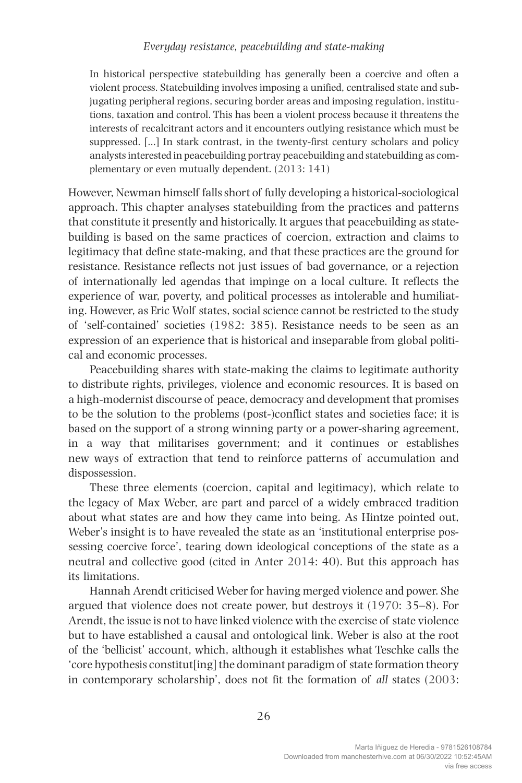In historical perspective statebuilding has generally been a coercive and often a violent process. Statebuilding involves imposing a unified, centralised state and subjugating peripheral regions, securing border areas and imposing regulation, institutions, taxation and control. This has been a violent process because it threatens the interests of recalcitrant actors and it encounters outlying resistance which must be suppressed. […] In stark contrast, in the twenty-first century scholars and policy analysts interested in peacebuilding portray peacebuilding and statebuilding as complementary or even mutually dependent. (2013: 141)

However, Newman himself falls short of fully developing a historical-sociological approach. This chapter analyses statebuilding from the practices and patterns that constitute it presently and historically. It argues that peacebuilding as statebuilding is based on the same practices of coercion, extraction and claims to legitimacy that define state-making, and that these practices are the ground for resistance. Resistance reflects not just issues of bad governance, or a rejection of internationally led agendas that impinge on a local culture. It reflects the experience of war, poverty, and political processes as intolerable and humiliating. However, as Eric Wolf states, social science cannot be restricted to the study of 'self-contained' societies (1982: 385). Resistance needs to be seen as an expression of an experience that is historical and inseparable from global political and economic processes.

Peacebuilding shares with state-making the claims to legitimate authority to distribute rights, privileges, violence and economic resources. It is based on a high-modernist discourse of peace, democracy and development that promises to be the solution to the problems (post-)conflict states and societies face; it is based on the support of a strong winning party or a power-sharing agreement, in a way that militarises government; and it continues or establishes new ways of extraction that tend to reinforce patterns of accumulation and dispossession.

These three elements (coercion, capital and legitimacy), which relate to the legacy of Max Weber, are part and parcel of a widely embraced tradition about what states are and how they came into being. As Hintze pointed out, Weber's insight is to have revealed the state as an 'institutional enterprise possessing coercive force', tearing down ideological conceptions of the state as a neutral and collective good (cited in Anter 2014: 40). But this approach has its limitations.

Hannah Arendt criticised Weber for having merged violence and power. She argued that violence does not create power, but destroys it (1970: 35–8). For Arendt, the issue is not to have linked violence with the exercise of state violence but to have established a causal and ontological link. Weber is also at the root of the 'bellicist' account, which, although it establishes what Teschke calls the 'core hypothesis constitut[ing] the dominant paradigm of state formation theory in contemporary scholarship', does not fit the formation of *all* states (2003: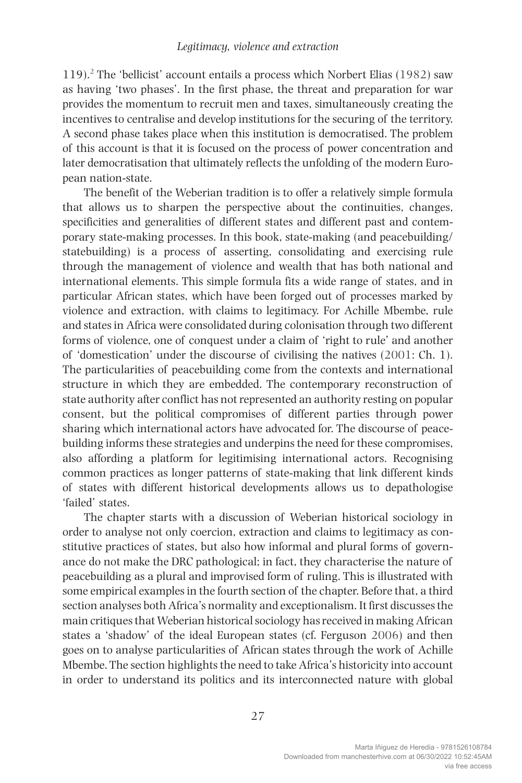119).2 The 'bellicist' account entails a process which Norbert Elias (1982) saw as having 'two phases'. In the first phase, the threat and preparation for war provides the momentum to recruit men and taxes, simultaneously creating the incentives to centralise and develop institutions for the securing of the territory. A second phase takes place when this institution is democratised. The problem of this account is that it is focused on the process of power concentration and later democratisation that ultimately reflects the unfolding of the modern European nation-state.

The benefit of the Weberian tradition is to offer a relatively simple formula that allows us to sharpen the perspective about the continuities, changes, specificities and generalities of different states and different past and contemporary state-making processes. In this book, state-making (and peacebuilding/ statebuilding) is a process of asserting, consolidating and exercising rule through the management of violence and wealth that has both national and international elements. This simple formula fits a wide range of states, and in particular African states, which have been forged out of processes marked by violence and extraction, with claims to legitimacy. For Achille Mbembe, rule and states in Africa were consolidated during colonisation through two different forms of violence, one of conquest under a claim of 'right to rule' and another of 'domestication' under the discourse of civilising the natives (2001: Ch. 1). The particularities of peacebuilding come from the contexts and international structure in which they are embedded. The contemporary reconstruction of state authority after conflict has not represented an authority resting on popular consent, but the political compromises of different parties through power sharing which international actors have advocated for. The discourse of peacebuilding informs these strategies and underpins the need for these compromises, also affording a platform for legitimising international actors. Recognising common practices as longer patterns of state-making that link different kinds of states with different historical developments allows us to depathologise 'failed' states.

The chapter starts with a discussion of Weberian historical sociology in order to analyse not only coercion, extraction and claims to legitimacy as constitutive practices of states, but also how informal and plural forms of governance do not make the DRC pathological; in fact, they characterise the nature of peacebuilding as a plural and improvised form of ruling. This is illustrated with some empirical examples in the fourth section of the chapter. Before that, a third section analyses both Africa's normality and exceptionalism. It first discusses the main critiques that Weberian historical sociology has received in making African states a 'shadow' of the ideal European states (cf. Ferguson 2006) and then goes on to analyse particularities of African states through the work of Achille Mbembe. The section highlights the need to take Africa's historicity into account in order to understand its politics and its interconnected nature with global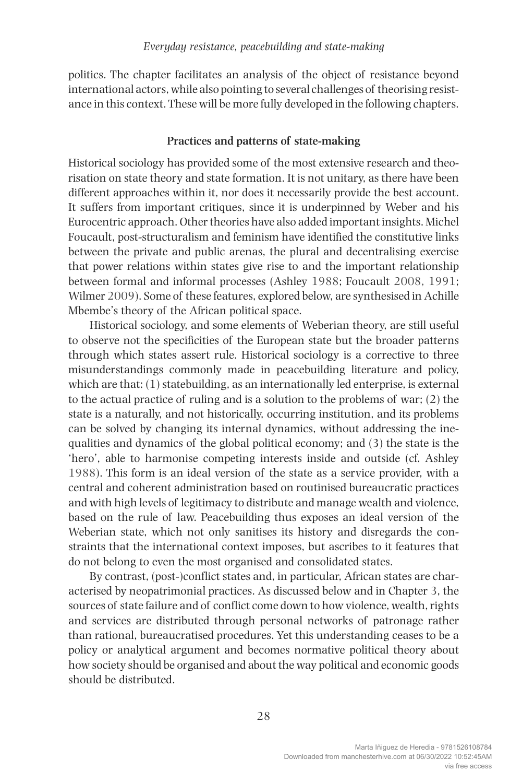politics. The chapter facilitates an analysis of the object of resistance beyond international actors, while also pointing to several challenges of theorising resistance in this context. These will be more fully developed in the following chapters.

#### **Practices and patterns of state-making**

Historical sociology has provided some of the most extensive research and theorisation on state theory and state formation. It is not unitary, as there have been different approaches within it, nor does it necessarily provide the best account. It suffers from important critiques, since it is underpinned by Weber and his Eurocentric approach. Other theories have also added important insights. Michel Foucault, post-structuralism and feminism have identified the constitutive links between the private and public arenas, the plural and decentralising exercise that power relations within states give rise to and the important relationship between formal and informal processes (Ashley 1988; Foucault 2008, 1991; Wilmer 2009). Some of these features, explored below, are synthesised in Achille Mbembe's theory of the African political space.

Historical sociology, and some elements of Weberian theory, are still useful to observe not the specificities of the European state but the broader patterns through which states assert rule. Historical sociology is a corrective to three misunderstandings commonly made in peacebuilding literature and policy, which are that: (1) statebuilding, as an internationally led enterprise, is external to the actual practice of ruling and is a solution to the problems of war; (2) the state is a naturally, and not historically, occurring institution, and its problems can be solved by changing its internal dynamics, without addressing the inequalities and dynamics of the global political economy; and (3) the state is the 'hero', able to harmonise competing interests inside and outside (cf. Ashley 1988). This form is an ideal version of the state as a service provider, with a central and coherent administration based on routinised bureaucratic practices and with high levels of legitimacy to distribute and manage wealth and violence, based on the rule of law. Peacebuilding thus exposes an ideal version of the Weberian state, which not only sanitises its history and disregards the constraints that the international context imposes, but ascribes to it features that do not belong to even the most organised and consolidated states.

By contrast, (post-)conflict states and, in particular, African states are characterised by neopatrimonial practices. As discussed below and in Chapter 3, the sources of state failure and of conflict come down to how violence, wealth, rights and services are distributed through personal networks of patronage rather than rational, bureaucratised procedures. Yet this understanding ceases to be a policy or analytical argument and becomes normative political theory about how society should be organised and about the way political and economic goods should be distributed.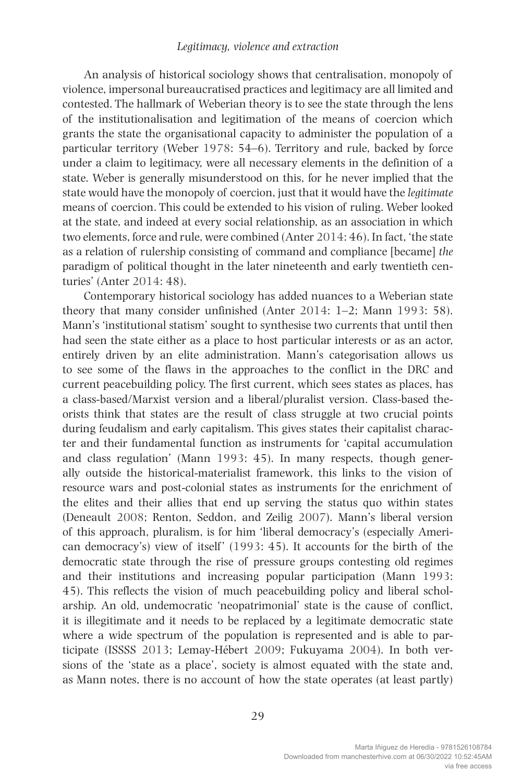An analysis of historical sociology shows that centralisation, monopoly of violence, impersonal bureaucratised practices and legitimacy are all limited and contested. The hallmark of Weberian theory is to see the state through the lens of the institutionalisation and legitimation of the means of coercion which grants the state the organisational capacity to administer the population of a particular territory (Weber 1978: 54–6). Territory and rule, backed by force under a claim to legitimacy, were all necessary elements in the definition of a state. Weber is generally misunderstood on this, for he never implied that the state would have the monopoly of coercion, just that it would have the *legitimate* means of coercion. This could be extended to his vision of ruling. Weber looked at the state, and indeed at every social relationship, as an association in which two elements, force and rule, were combined (Anter 2014: 46). In fact, 'the state as a relation of rulership consisting of command and compliance [became] *the*  paradigm of political thought in the later nineteenth and early twentieth centuries' (Anter 2014: 48).

Contemporary historical sociology has added nuances to a Weberian state theory that many consider unfinished (Anter 2014: 1–2; Mann 1993: 58). Mann's 'institutional statism' sought to synthesise two currents that until then had seen the state either as a place to host particular interests or as an actor, entirely driven by an elite administration. Mann's categorisation allows us to see some of the flaws in the approaches to the conflict in the DRC and current peacebuilding policy. The first current, which sees states as places, has a class-based/Marxist version and a liberal/pluralist version. Class-based theorists think that states are the result of class struggle at two crucial points during feudalism and early capitalism. This gives states their capitalist character and their fundamental function as instruments for 'capital accumulation and class regulation' (Mann 1993: 45). In many respects, though generally outside the historical-materialist framework, this links to the vision of resource wars and post-colonial states as instruments for the enrichment of the elites and their allies that end up serving the status quo within states (Deneault 2008; Renton, Seddon, and Zeilig 2007). Mann's liberal version of this approach, pluralism, is for him 'liberal democracy's (especially American democracy's) view of itself ' (1993: 45). It accounts for the birth of the democratic state through the rise of pressure groups contesting old regimes and their institutions and increasing popular participation (Mann 1993: 45). This reflects the vision of much peacebuilding policy and liberal scholarship. An old, undemocratic 'neopatrimonial' state is the cause of conflict, it is illegitimate and it needs to be replaced by a legitimate democratic state where a wide spectrum of the population is represented and is able to participate (ISSSS 2013; Lemay-Hébert 2009; Fukuyama 2004). In both versions of the 'state as a place', society is almost equated with the state and, as Mann notes, there is no account of how the state operates (at least partly)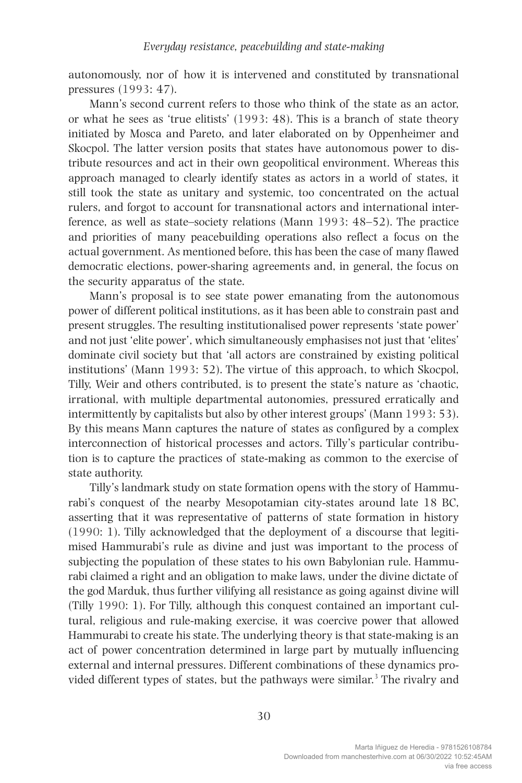autonomously, nor of how it is intervened and constituted by transnational pressures (1993: 47).

Mann's second current refers to those who think of the state as an actor, or what he sees as 'true elitists' (1993: 48). This is a branch of state theory initiated by Mosca and Pareto, and later elaborated on by Oppenheimer and Skocpol. The latter version posits that states have autonomous power to distribute resources and act in their own geopolitical environment. Whereas this approach managed to clearly identify states as actors in a world of states, it still took the state as unitary and systemic, too concentrated on the actual rulers, and forgot to account for transnational actors and international interference, as well as state–society relations (Mann 1993: 48–52). The practice and priorities of many peacebuilding operations also reflect a focus on the actual government. As mentioned before, this has been the case of many flawed democratic elections, power-sharing agreements and, in general, the focus on the security apparatus of the state.

Mann's proposal is to see state power emanating from the autonomous power of different political institutions, as it has been able to constrain past and present struggles. The resulting institutionalised power represents 'state power' and not just 'elite power', which simultaneously emphasises not just that 'elites' dominate civil society but that 'all actors are constrained by existing political institutions' (Mann 1993: 52). The virtue of this approach, to which Skocpol, Tilly, Weir and others contributed, is to present the state's nature as 'chaotic, irrational, with multiple departmental autonomies, pressured erratically and intermittently by capitalists but also by other interest groups' (Mann 1993: 53). By this means Mann captures the nature of states as configured by a complex interconnection of historical processes and actors. Tilly's particular contribution is to capture the practices of state-making as common to the exercise of state authority.

Tilly's landmark study on state formation opens with the story of Hammurabi's conquest of the nearby Mesopotamian city-states around late 18 BC, asserting that it was representative of patterns of state formation in history (1990: 1). Tilly acknowledged that the deployment of a discourse that legitimised Hammurabi's rule as divine and just was important to the process of subjecting the population of these states to his own Babylonian rule. Hammurabi claimed a right and an obligation to make laws, under the divine dictate of the god Marduk, thus further vilifying all resistance as going against divine will (Tilly 1990: 1). For Tilly, although this conquest contained an important cultural, religious and rule-making exercise, it was coercive power that allowed Hammurabi to create his state. The underlying theory is that state-making is an act of power concentration determined in large part by mutually influencing external and internal pressures. Different combinations of these dynamics provided different types of states, but the pathways were similar.<sup>3</sup> The rivalry and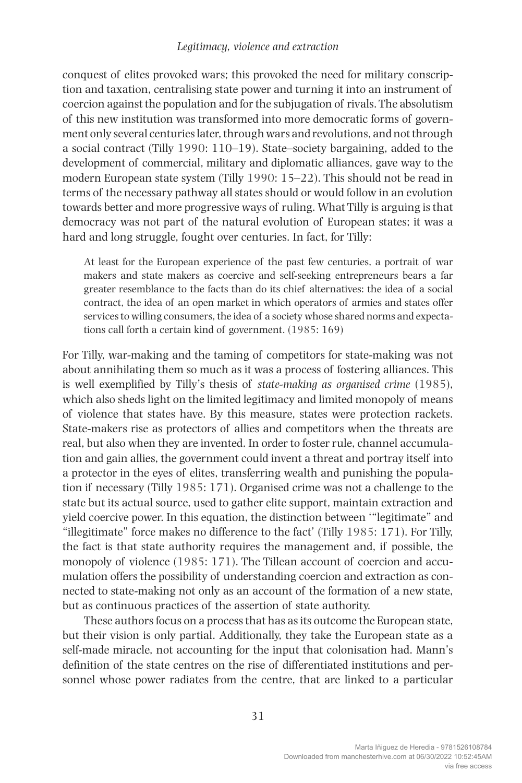#### *Legitimacy, violence and extraction*

conquest of elites provoked wars; this provoked the need for military conscription and taxation, centralising state power and turning it into an instrument of coercion against the population and for the subjugation of rivals. The absolutism of this new institution was transformed into more democratic forms of government only several centuries later, through wars and revolutions, and not through a social contract (Tilly 1990: 110–19). State–society bargaining, added to the development of commercial, military and diplomatic alliances, gave way to the modern European state system (Tilly 1990: 15–22). This should not be read in terms of the necessary pathway all states should or would follow in an evolution towards better and more progressive ways of ruling. What Tilly is arguing is that democracy was not part of the natural evolution of European states; it was a hard and long struggle, fought over centuries. In fact, for Tilly:

At least for the European experience of the past few centuries, a portrait of war makers and state makers as coercive and self-seeking entrepreneurs bears a far greater resemblance to the facts than do its chief alternatives: the idea of a social contract, the idea of an open market in which operators of armies and states offer services to willing consumers, the idea of a society whose shared norms and expectations call forth a certain kind of government. (1985: 169)

For Tilly, war-making and the taming of competitors for state-making was not about annihilating them so much as it was a process of fostering alliances. This is well exemplified by Tilly's thesis of *state-making as organised crime* (1985), which also sheds light on the limited legitimacy and limited monopoly of means of violence that states have. By this measure, states were protection rackets. State-makers rise as protectors of allies and competitors when the threats are real, but also when they are invented. In order to foster rule, channel accumulation and gain allies, the government could invent a threat and portray itself into a protector in the eyes of elites, transferring wealth and punishing the population if necessary (Tilly 1985: 171). Organised crime was not a challenge to the state but its actual source, used to gather elite support, maintain extraction and yield coercive power. In this equation, the distinction between '"legitimate" and "illegitimate" force makes no difference to the fact' (Tilly 1985: 171). For Tilly, the fact is that state authority requires the management and, if possible, the monopoly of violence (1985: 171). The Tillean account of coercion and accumulation offers the possibility of understanding coercion and extraction as connected to state-making not only as an account of the formation of a new state, but as continuous practices of the assertion of state authority.

These authors focus on a process that has as its outcome the European state, but their vision is only partial. Additionally, they take the European state as a self-made miracle, not accounting for the input that colonisation had. Mann's definition of the state centres on the rise of differentiated institutions and personnel whose power radiates from the centre, that are linked to a particular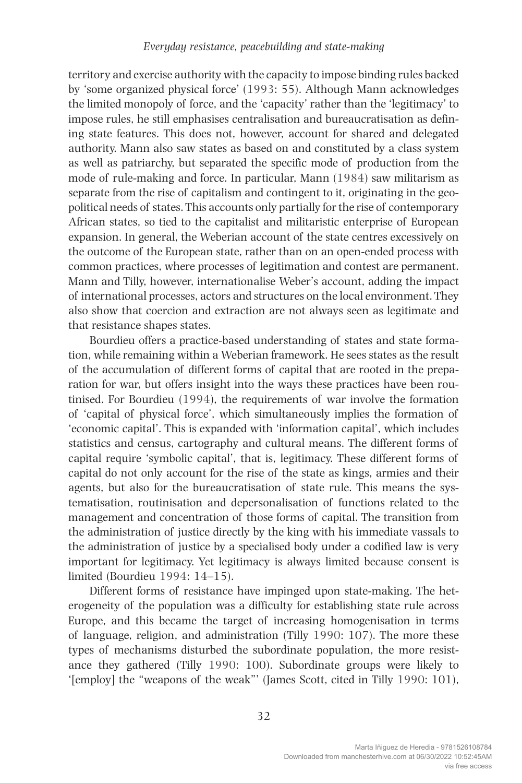territory and exercise authority with the capacity to impose binding rules backed by 'some organized physical force' (1993: 55). Although Mann acknowledges the limited monopoly of force, and the 'capacity' rather than the 'legitimacy' to impose rules, he still emphasises centralisation and bureaucratisation as defining state features. This does not, however, account for shared and delegated authority. Mann also saw states as based on and constituted by a class system as well as patriarchy, but separated the specific mode of production from the mode of rule-making and force. In particular, Mann (1984) saw militarism as separate from the rise of capitalism and contingent to it, originating in the geopolitical needs of states. This accounts only partially for the rise of contemporary African states, so tied to the capitalist and militaristic enterprise of European expansion. In general, the Weberian account of the state centres excessively on the outcome of the European state, rather than on an open-ended process with common practices, where processes of legitimation and contest are permanent. Mann and Tilly, however, internationalise Weber's account, adding the impact of international processes, actors and structures on the local environment. They also show that coercion and extraction are not always seen as legitimate and that resistance shapes states.

Bourdieu offers a practice-based understanding of states and state formation, while remaining within a Weberian framework. He sees states as the result of the accumulation of different forms of capital that are rooted in the preparation for war, but offers insight into the ways these practices have been routinised. For Bourdieu (1994), the requirements of war involve the formation of 'capital of physical force', which simultaneously implies the formation of 'economic capital'. This is expanded with 'information capital', which includes statistics and census, cartography and cultural means. The different forms of capital require 'symbolic capital', that is, legitimacy. These different forms of capital do not only account for the rise of the state as kings, armies and their agents, but also for the bureaucratisation of state rule. This means the systematisation, routinisation and depersonalisation of functions related to the management and concentration of those forms of capital. The transition from the administration of justice directly by the king with his immediate vassals to the administration of justice by a specialised body under a codified law is very important for legitimacy. Yet legitimacy is always limited because consent is limited (Bourdieu 1994: 14–15).

Different forms of resistance have impinged upon state-making. The heterogeneity of the population was a difficulty for establishing state rule across Europe, and this became the target of increasing homogenisation in terms of language, religion, and administration (Tilly 1990: 107). The more these types of mechanisms disturbed the subordinate population, the more resistance they gathered (Tilly 1990: 100). Subordinate groups were likely to '[employ] the "weapons of the weak"' (James Scott, cited in Tilly 1990: 101),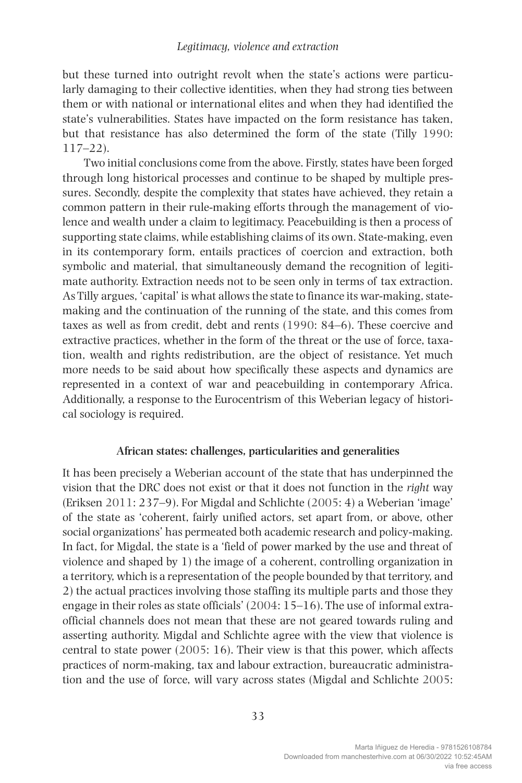but these turned into outright revolt when the state's actions were particularly damaging to their collective identities, when they had strong ties between them or with national or international elites and when they had identified the state's vulnerabilities. States have impacted on the form resistance has taken, but that resistance has also determined the form of the state (Tilly 1990: 117–22).

Two initial conclusions come from the above. Firstly, states have been forged through long historical processes and continue to be shaped by multiple pressures. Secondly, despite the complexity that states have achieved, they retain a common pattern in their rule-making efforts through the management of violence and wealth under a claim to legitimacy. Peacebuilding is then a process of supporting state claims, while establishing claims of its own. State-making, even in its contemporary form, entails practices of coercion and extraction, both symbolic and material, that simultaneously demand the recognition of legitimate authority. Extraction needs not to be seen only in terms of tax extraction. As Tilly argues, 'capital' is what allows the state to finance its war-making, statemaking and the continuation of the running of the state, and this comes from taxes as well as from credit, debt and rents (1990: 84–6). These coercive and extractive practices, whether in the form of the threat or the use of force, taxation, wealth and rights redistribution, are the object of resistance. Yet much more needs to be said about how specifically these aspects and dynamics are represented in a context of war and peacebuilding in contemporary Africa. Additionally, a response to the Eurocentrism of this Weberian legacy of historical sociology is required.

#### **African states: challenges, particularities and generalities**

It has been precisely a Weberian account of the state that has underpinned the vision that the DRC does not exist or that it does not function in the *right* way (Eriksen 2011: 237–9). For Migdal and Schlichte (2005: 4) a Weberian 'image' of the state as 'coherent, fairly unified actors, set apart from, or above, other social organizations' has permeated both academic research and policy-making. In fact, for Migdal, the state is a 'field of power marked by the use and threat of violence and shaped by 1) the image of a coherent, controlling organization in a territory, which is a representation of the people bounded by that territory, and 2) the actual practices involving those staffing its multiple parts and those they engage in their roles as state officials' (2004: 15–16). The use of informal extraofficial channels does not mean that these are not geared towards ruling and asserting authority. Migdal and Schlichte agree with the view that violence is central to state power (2005: 16). Their view is that this power, which affects practices of norm-making, tax and labour extraction, bureaucratic administration and the use of force, will vary across states (Migdal and Schlichte 2005: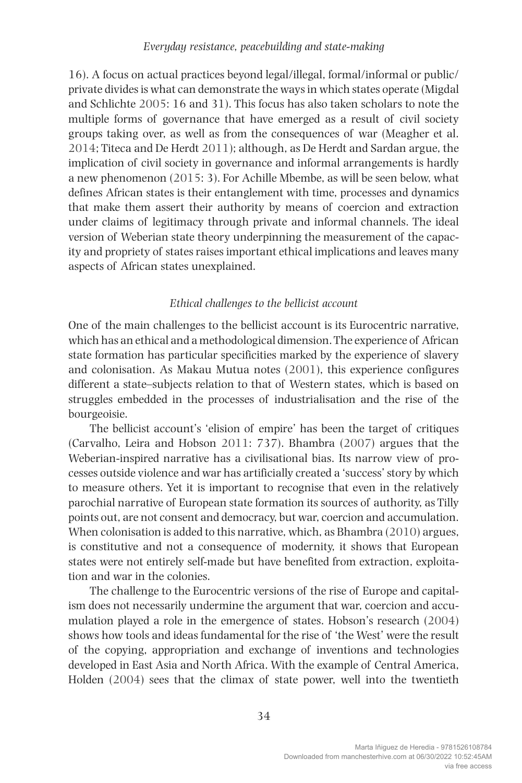16). A focus on actual practices beyond legal/illegal, formal/informal or public/ private divides is what can demonstrate the ways in which states operate (Migdal and Schlichte 2005: 16 and 31). This focus has also taken scholars to note the multiple forms of governance that have emerged as a result of civil society groups taking over, as well as from the consequences of war (Meagher et al. 2014; Titeca and De Herdt 2011); although, as De Herdt and Sardan argue, the implication of civil society in governance and informal arrangements is hardly a new phenomenon (2015: 3). For Achille Mbembe, as will be seen below, what defines African states is their entanglement with time, processes and dynamics that make them assert their authority by means of coercion and extraction under claims of legitimacy through private and informal channels. The ideal version of Weberian state theory underpinning the measurement of the capacity and propriety of states raises important ethical implications and leaves many aspects of African states unexplained.

#### *Ethical challenges to the bellicist account*

One of the main challenges to the bellicist account is its Eurocentric narrative, which has an ethical and a methodological dimension. The experience of African state formation has particular specificities marked by the experience of slavery and colonisation. As Makau Mutua notes (2001), this experience configures different a state–subjects relation to that of Western states, which is based on struggles embedded in the processes of industrialisation and the rise of the bourgeoisie.

The bellicist account's 'elision of empire' has been the target of critiques (Carvalho, Leira and Hobson 2011: 737). Bhambra (2007) argues that the Weberian-inspired narrative has a civilisational bias. Its narrow view of processes outside violence and war has artificially created a 'success' story by which to measure others. Yet it is important to recognise that even in the relatively parochial narrative of European state formation its sources of authority, as Tilly points out, are not consent and democracy, but war, coercion and accumulation. When colonisation is added to this narrative, which, as Bhambra (2010) argues, is constitutive and not a consequence of modernity, it shows that European states were not entirely self-made but have benefited from extraction, exploitation and war in the colonies.

The challenge to the Eurocentric versions of the rise of Europe and capitalism does not necessarily undermine the argument that war, coercion and accumulation played a role in the emergence of states. Hobson's research (2004) shows how tools and ideas fundamental for the rise of 'the West' were the result of the copying, appropriation and exchange of inventions and technologies developed in East Asia and North Africa. With the example of Central America, Holden (2004) sees that the climax of state power, well into the twentieth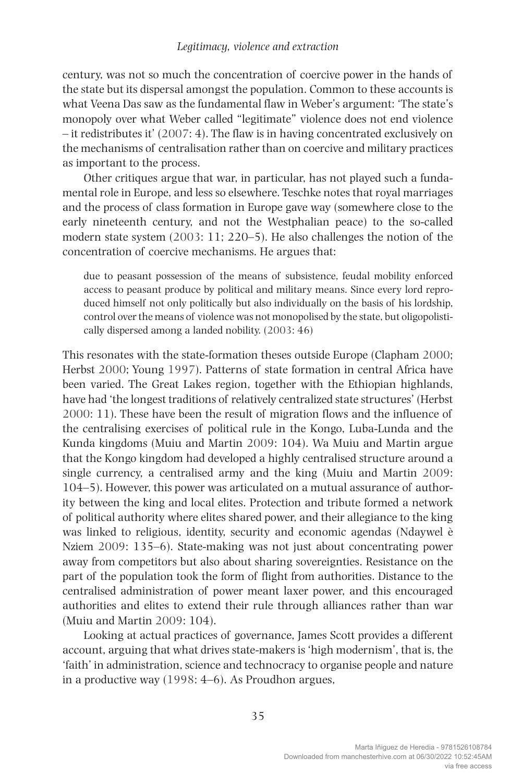century, was not so much the concentration of coercive power in the hands of the state but its dispersal amongst the population. Common to these accounts is what Veena Das saw as the fundamental flaw in Weber's argument: 'The state's monopoly over what Weber called "legitimate" violence does not end violence – it redistributes it' (2007: 4). The flaw is in having concentrated exclusively on the mechanisms of centralisation rather than on coercive and military practices as important to the process.

Other critiques argue that war, in particular, has not played such a fundamental role in Europe, and less so elsewhere. Teschke notes that royal marriages and the process of class formation in Europe gave way (somewhere close to the early nineteenth century, and not the Westphalian peace) to the so-called modern state system (2003: 11; 220–5). He also challenges the notion of the concentration of coercive mechanisms. He argues that:

due to peasant possession of the means of subsistence, feudal mobility enforced access to peasant produce by political and military means. Since every lord reproduced himself not only politically but also individually on the basis of his lordship, control over the means of violence was not monopolised by the state, but oligopolistically dispersed among a landed nobility. (2003: 46)

This resonates with the state-formation theses outside Europe (Clapham 2000; Herbst 2000; Young 1997). Patterns of state formation in central Africa have been varied. The Great Lakes region, together with the Ethiopian highlands, have had 'the longest traditions of relatively centralized state structures' (Herbst 2000: 11). These have been the result of migration flows and the influence of the centralising exercises of political rule in the Kongo, Luba-Lunda and the Kunda kingdoms (Muiu and Martin 2009: 104). Wa Muiu and Martin argue that the Kongo kingdom had developed a highly centralised structure around a single currency, a centralised army and the king (Muiu and Martin 2009: 104–5). However, this power was articulated on a mutual assurance of authority between the king and local elites. Protection and tribute formed a network of political authority where elites shared power, and their allegiance to the king was linked to religious, identity, security and economic agendas (Ndaywel è Nziem 2009: 135–6). State-making was not just about concentrating power away from competitors but also about sharing sovereignties. Resistance on the part of the population took the form of flight from authorities. Distance to the centralised administration of power meant laxer power, and this encouraged authorities and elites to extend their rule through alliances rather than war (Muiu and Martin 2009: 104).

Looking at actual practices of governance, James Scott provides a different account, arguing that what drives state-makers is 'high modernism', that is, the 'faith' in administration, science and technocracy to organise people and nature in a productive way (1998: 4–6). As Proudhon argues,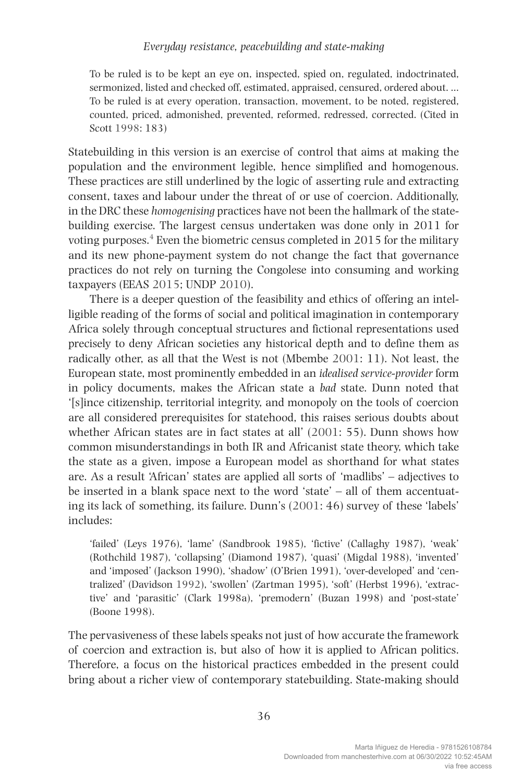To be ruled is to be kept an eye on, inspected, spied on, regulated, indoctrinated, sermonized, listed and checked off, estimated, appraised, censured, ordered about. … To be ruled is at every operation, transaction, movement, to be noted, registered, counted, priced, admonished, prevented, reformed, redressed, corrected. (Cited in Scott 1998: 183)

Statebuilding in this version is an exercise of control that aims at making the population and the environment legible, hence simplified and homogenous. These practices are still underlined by the logic of asserting rule and extracting consent, taxes and labour under the threat of or use of coercion. Additionally, in the DRC these *homogenising* practices have not been the hallmark of the statebuilding exercise. The largest census undertaken was done only in 2011 for voting purposes.<sup>4</sup> Even the biometric census completed in 2015 for the military and its new phone-payment system do not change the fact that governance practices do not rely on turning the Congolese into consuming and working taxpayers (EEAS 2015; UNDP 2010).

There is a deeper question of the feasibility and ethics of offering an intelligible reading of the forms of social and political imagination in contemporary Africa solely through conceptual structures and fictional representations used precisely to deny African societies any historical depth and to define them as radically other, as all that the West is not (Mbembe 2001: 11). Not least, the European state, most prominently embedded in an *idealised service-provider* form in policy documents, makes the African state a *bad* state. Dunn noted that '[s]ince citizenship, territorial integrity, and monopoly on the tools of coercion are all considered prerequisites for statehood, this raises serious doubts about whether African states are in fact states at all' (2001: 55). Dunn shows how common misunderstandings in both IR and Africanist state theory, which take the state as a given, impose a European model as shorthand for what states are. As a result 'African' states are applied all sorts of 'madlibs' – adjectives to be inserted in a blank space next to the word 'state' – all of them accentuating its lack of something, its failure. Dunn's (2001: 46) survey of these 'labels' includes:

'failed' (Leys 1976), 'lame' (Sandbrook 1985), 'fictive' (Callaghy 1987), 'weak' (Rothchild 1987), 'collapsing' (Diamond 1987), 'quasi' (Migdal 1988), 'invented' and 'imposed' (Jackson 1990), 'shadow' (O'Brien 1991), 'over-developed' and 'centralized' (Davidson 1992), 'swollen' (Zartman 1995), 'soft' (Herbst 1996), 'extractive' and 'parasitic' (Clark 1998a), 'premodern' (Buzan 1998) and 'post-state' (Boone 1998).

The pervasiveness of these labels speaks not just of how accurate the framework of coercion and extraction is, but also of how it is applied to African politics. Therefore, a focus on the historical practices embedded in the present could bring about a richer view of contemporary statebuilding. State-making should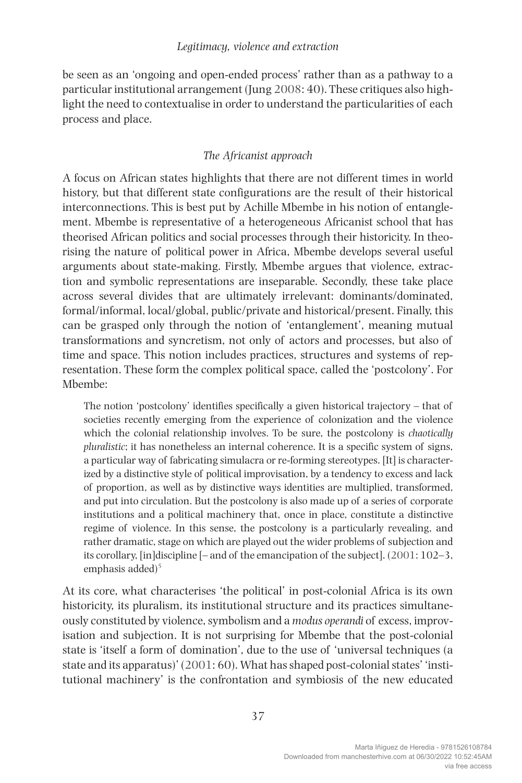#### *Legitimacy, violence and extraction*

be seen as an 'ongoing and open-ended process' rather than as a pathway to a particular institutional arrangement (Jung 2008: 40). These critiques also highlight the need to contextualise in order to understand the particularities of each process and place.

#### *The Africanist approach*

A focus on African states highlights that there are not different times in world history, but that different state configurations are the result of their historical interconnections. This is best put by Achille Mbembe in his notion of entanglement. Mbembe is representative of a heterogeneous Africanist school that has theorised African politics and social processes through their historicity. In theorising the nature of political power in Africa, Mbembe develops several useful arguments about state-making. Firstly, Mbembe argues that violence, extraction and symbolic representations are inseparable. Secondly, these take place across several divides that are ultimately irrelevant: dominants/dominated, formal/informal, local/global, public/private and historical/present. Finally, this can be grasped only through the notion of 'entanglement', meaning mutual transformations and syncretism, not only of actors and processes, but also of time and space. This notion includes practices, structures and systems of representation. These form the complex political space, called the 'postcolony'. For Mbembe:

The notion 'postcolony' identifies specifically a given historical trajectory – that of societies recently emerging from the experience of colonization and the violence which the colonial relationship involves. To be sure, the postcolony is *chaotically pluralistic*; it has nonetheless an internal coherence. It is a specific system of signs, a particular way of fabricating simulacra or re-forming stereotypes. [It] is characterized by a distinctive style of political improvisation, by a tendency to excess and lack of proportion, as well as by distinctive ways identities are multiplied, transformed, and put into circulation. But the postcolony is also made up of a series of corporate institutions and a political machinery that, once in place, constitute a distinctive regime of violence. In this sense, the postcolony is a particularly revealing, and rather dramatic, stage on which are played out the wider problems of subjection and its corollary, [in]discipline [– and of the emancipation of the subject]. (2001: 102–3, emphasis added)<sup>5</sup>

At its core, what characterises 'the political' in post-colonial Africa is its own historicity, its pluralism, its institutional structure and its practices simultaneously constituted by violence, symbolism and a *modus operandi* of excess, improvisation and subjection. It is not surprising for Mbembe that the post-colonial state is 'itself a form of domination', due to the use of 'universal techniques (a state and its apparatus)' (2001: 60). What has shaped post-colonial states' 'institutional machinery' is the confrontation and symbiosis of the new educated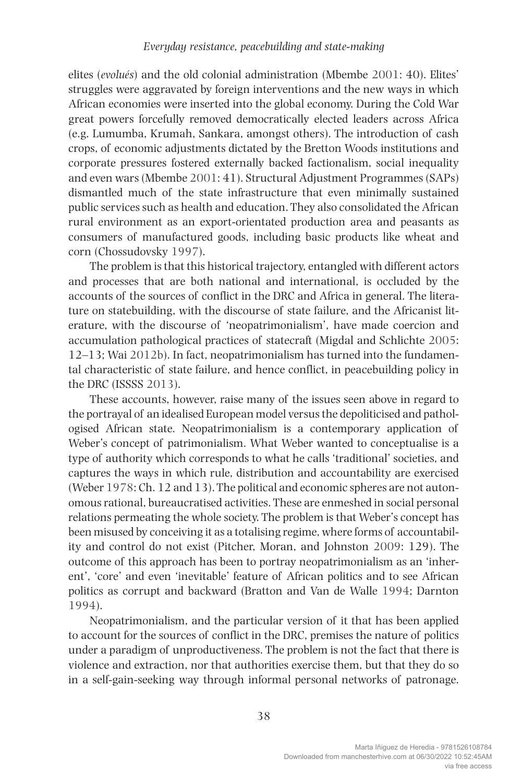elites (*evolués*) and the old colonial administration (Mbembe 2001: 40). Elites' struggles were aggravated by foreign interventions and the new ways in which African economies were inserted into the global economy. During the Cold War great powers forcefully removed democratically elected leaders across Africa (e.g. Lumumba, Krumah, Sankara, amongst others). The introduction of cash crops, of economic adjustments dictated by the Bretton Woods institutions and corporate pressures fostered externally backed factionalism, social inequality and even wars (Mbembe 2001: 41). Structural Adjustment Programmes (SAPs) dismantled much of the state infrastructure that even minimally sustained public services such as health and education. They also consolidated the African rural environment as an export-orientated production area and peasants as consumers of manufactured goods, including basic products like wheat and corn (Chossudovsky 1997).

The problem is that this historical trajectory, entangled with different actors and processes that are both national and international, is occluded by the accounts of the sources of conflict in the DRC and Africa in general. The literature on statebuilding, with the discourse of state failure, and the Africanist literature, with the discourse of 'neopatrimonialism', have made coercion and accumulation pathological practices of statecraft (Migdal and Schlichte 2005: 12–13; Wai 2012b). In fact, neopatrimonialism has turned into the fundamental characteristic of state failure, and hence conflict, in peacebuilding policy in the DRC (ISSSS 2013).

These accounts, however, raise many of the issues seen above in regard to the portrayal of an idealised European model versus the depoliticised and pathologised African state. Neopatrimonialism is a contemporary application of Weber's concept of patrimonialism. What Weber wanted to conceptualise is a type of authority which corresponds to what he calls 'traditional' societies, and captures the ways in which rule, distribution and accountability are exercised (Weber 1978: Ch. 12 and 13). The political and economic spheres are not autonomous rational, bureaucratised activities. These are enmeshed in social personal relations permeating the whole society. The problem is that Weber's concept has been misused by conceiving it as a totalising regime, where forms of accountability and control do not exist (Pitcher, Moran, and Johnston 2009: 129). The outcome of this approach has been to portray neopatrimonialism as an 'inherent', 'core' and even 'inevitable' feature of African politics and to see African politics as corrupt and backward (Bratton and Van de Walle 1994; Darnton 1994).

Neopatrimonialism, and the particular version of it that has been applied to account for the sources of conflict in the DRC, premises the nature of politics under a paradigm of unproductiveness. The problem is not the fact that there is violence and extraction, nor that authorities exercise them, but that they do so in a self-gain-seeking way through informal personal networks of patronage.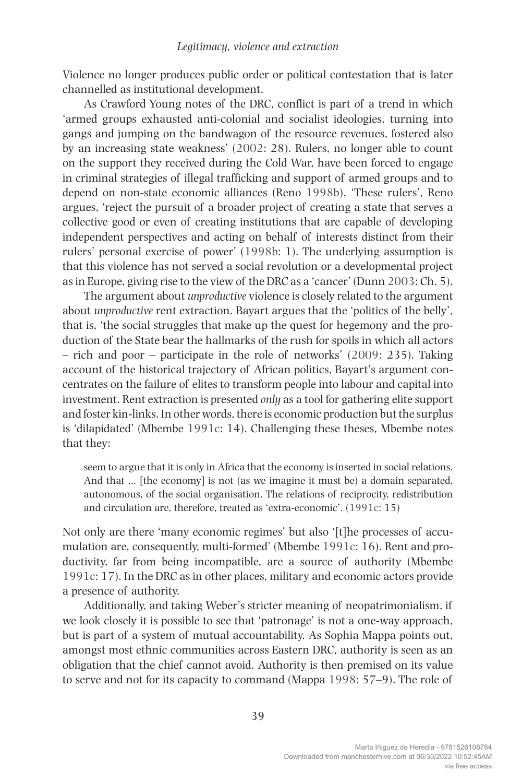Violence no longer produces public order or political contestation that is later channelled as institutional development.

As Crawford Young notes of the DRC, conflict is part of a trend in which 'armed groups exhausted anti-colonial and socialist ideologies, turning into gangs and jumping on the bandwagon of the resource revenues, fostered also by an increasing state weakness' (2002: 28). Rulers, no longer able to count on the support they received during the Cold War, have been forced to engage in criminal strategies of illegal trafficking and support of armed groups and to depend on non-state economic alliances (Reno 1998b). 'These rulers', Reno argues, 'reject the pursuit of a broader project of creating a state that serves a collective good or even of creating institutions that are capable of developing independent perspectives and acting on behalf of interests distinct from their rulers' personal exercise of power' (1998b: 1). The underlying assumption is that this violence has not served a social revolution or a developmental project as in Europe, giving rise to the view of the DRC as a 'cancer' (Dunn 2003: Ch. 5).

The argument about *unproductive* violence is closely related to the argument about *unproductive* rent extraction. Bayart argues that the 'politics of the belly', that is, 'the social struggles that make up the quest for hegemony and the production of the State bear the hallmarks of the rush for spoils in which all actors – rich and poor – participate in the role of networks' (2009: 235). Taking account of the historical trajectory of African politics, Bayart's argument concentrates on the failure of elites to transform people into labour and capital into investment. Rent extraction is presented *only* as a tool for gathering elite support and foster kin-links. In other words, there is economic production but the surplus is 'dilapidated' (Mbembe 1991c: 14). Challenging these theses, Mbembe notes that they:

seem to argue that it is only in Africa that the economy is inserted in social relations. And that … [the economy] is not (as we imagine it must be) a domain separated, autonomous, of the social organisation. The relations of reciprocity, redistribution and circulation are, therefore, treated as 'extra-economic'. (1991c: 15)

Not only are there 'many economic regimes' but also '[t]he processes of accumulation are, consequently, multi-formed' (Mbembe 1991c: 16). Rent and productivity, far from being incompatible, are a source of authority (Mbembe 1991c: 17). In the DRC as in other places, military and economic actors provide a presence of authority.

Additionally, and taking Weber's stricter meaning of neopatrimonialism, if we look closely it is possible to see that 'patronage' is not a one-way approach, but is part of a system of mutual accountability. As Sophia Mappa points out, amongst most ethnic communities across Eastern DRC, authority is seen as an obligation that the chief cannot avoid. Authority is then premised on its value to serve and not for its capacity to command (Mappa 1998: 57–9). The role of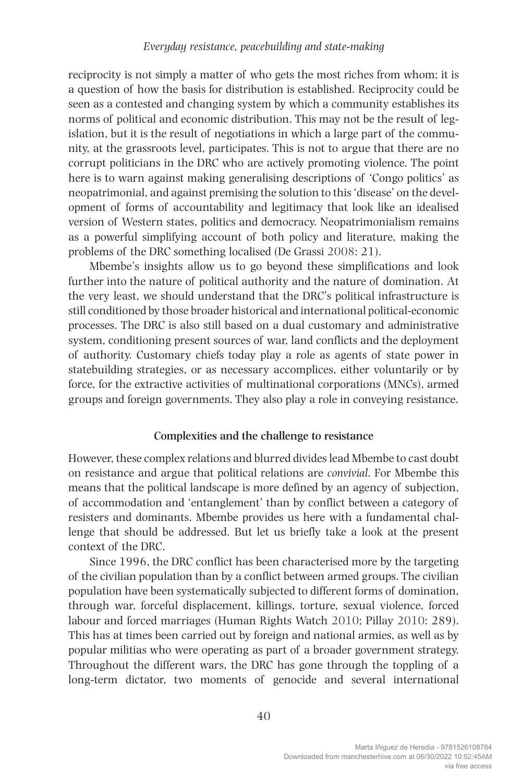reciprocity is not simply a matter of who gets the most riches from whom; it is a question of how the basis for distribution is established. Reciprocity could be seen as a contested and changing system by which a community establishes its norms of political and economic distribution. This may not be the result of legislation, but it is the result of negotiations in which a large part of the community, at the grassroots level, participates. This is not to argue that there are no corrupt politicians in the DRC who are actively promoting violence. The point here is to warn against making generalising descriptions of 'Congo politics' as neopatrimonial, and against premising the solution to this 'disease' on the development of forms of accountability and legitimacy that look like an idealised version of Western states, politics and democracy. Neopatrimonialism remains as a powerful simplifying account of both policy and literature, making the problems of the DRC something localised (De Grassi 2008: 21).

Mbembe's insights allow us to go beyond these simplifications and look further into the nature of political authority and the nature of domination. At the very least, we should understand that the DRC's political infrastructure is still conditioned by those broader historical and international political-economic processes. The DRC is also still based on a dual customary and administrative system, conditioning present sources of war, land conflicts and the deployment of authority. Customary chiefs today play a role as agents of state power in statebuilding strategies, or as necessary accomplices, either voluntarily or by force, for the extractive activities of multinational corporations (MNCs), armed groups and foreign governments. They also play a role in conveying resistance.

#### **Complexities and the challenge to resistance**

However, these complex relations and blurred divides lead Mbembe to cast doubt on resistance and argue that political relations are *convivial*. For Mbembe this means that the political landscape is more defined by an agency of subjection, of accommodation and 'entanglement' than by conflict between a category of resisters and dominants. Mbembe provides us here with a fundamental challenge that should be addressed. But let us briefly take a look at the present context of the DRC.

Since 1996, the DRC conflict has been characterised more by the targeting of the civilian population than by a conflict between armed groups. The civilian population have been systematically subjected to different forms of domination, through war, forceful displacement, killings, torture, sexual violence, forced labour and forced marriages (Human Rights Watch 2010; Pillay 2010: 289). This has at times been carried out by foreign and national armies, as well as by popular militias who were operating as part of a broader government strategy. Throughout the different wars, the DRC has gone through the toppling of a long-term dictator, two moments of genocide and several international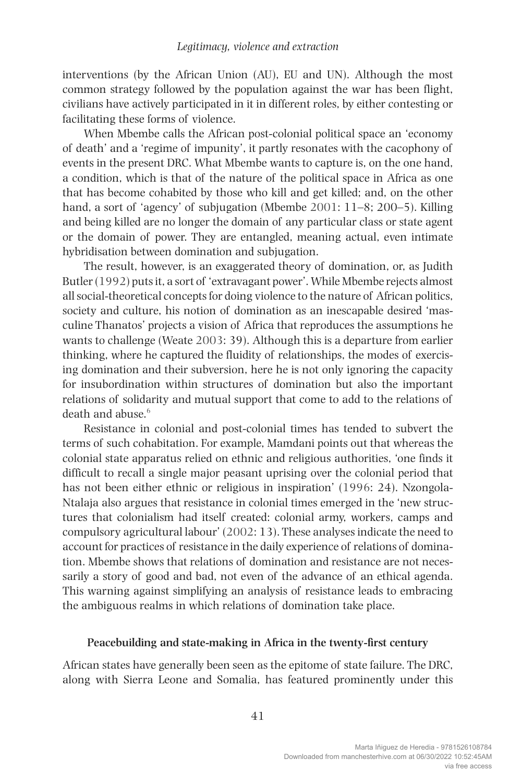interventions (by the African Union (AU), EU and UN). Although the most common strategy followed by the population against the war has been flight, civilians have actively participated in it in different roles, by either contesting or facilitating these forms of violence.

When Mbembe calls the African post-colonial political space an 'economy of death' and a 'regime of impunity', it partly resonates with the cacophony of events in the present DRC. What Mbembe wants to capture is, on the one hand, a condition, which is that of the nature of the political space in Africa as one that has become cohabited by those who kill and get killed; and, on the other hand, a sort of 'agency' of subjugation (Mbembe 2001: 11–8; 200–5). Killing and being killed are no longer the domain of any particular class or state agent or the domain of power. They are entangled, meaning actual, even intimate hybridisation between domination and subjugation.

The result, however, is an exaggerated theory of domination, or, as Judith Butler (1992) puts it, a sort of 'extravagant power'. While Mbembe rejects almost all social-theoretical concepts for doing violence to the nature of African politics, society and culture, his notion of domination as an inescapable desired 'masculine Thanatos' projects a vision of Africa that reproduces the assumptions he wants to challenge (Weate 2003: 39). Although this is a departure from earlier thinking, where he captured the fluidity of relationships, the modes of exercising domination and their subversion, here he is not only ignoring the capacity for insubordination within structures of domination but also the important relations of solidarity and mutual support that come to add to the relations of death and abuse  $^6$ 

Resistance in colonial and post-colonial times has tended to subvert the terms of such cohabitation. For example, Mamdani points out that whereas the colonial state apparatus relied on ethnic and religious authorities, 'one finds it difficult to recall a single major peasant uprising over the colonial period that has not been either ethnic or religious in inspiration' (1996: 24). Nzongola-Ntalaja also argues that resistance in colonial times emerged in the 'new structures that colonialism had itself created: colonial army, workers, camps and compulsory agricultural labour' (2002: 13). These analyses indicate the need to account for practices of resistance in the daily experience of relations of domination. Mbembe shows that relations of domination and resistance are not necessarily a story of good and bad, not even of the advance of an ethical agenda. This warning against simplifying an analysis of resistance leads to embracing the ambiguous realms in which relations of domination take place.

#### **Peacebuilding and state-making in Africa in the twenty-first century**

African states have generally been seen as the epitome of state failure. The DRC, along with Sierra Leone and Somalia, has featured prominently under this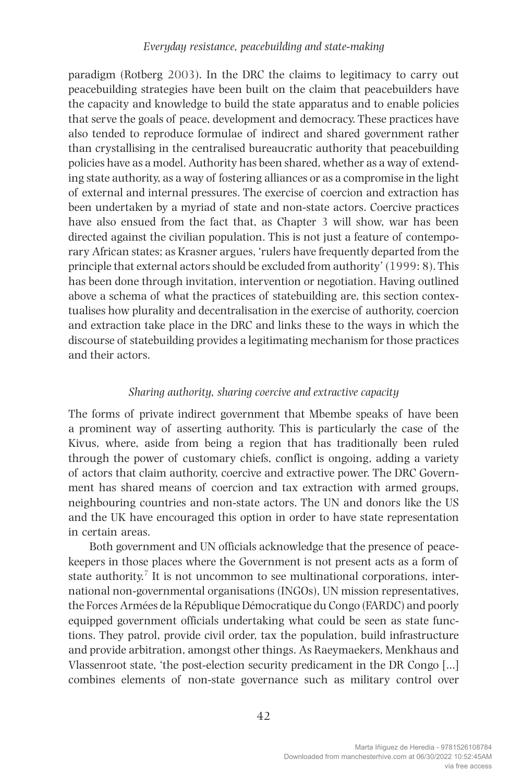paradigm (Rotberg 2003). In the DRC the claims to legitimacy to carry out peacebuilding strategies have been built on the claim that peacebuilders have the capacity and knowledge to build the state apparatus and to enable policies that serve the goals of peace, development and democracy. These practices have also tended to reproduce formulae of indirect and shared government rather than crystallising in the centralised bureaucratic authority that peacebuilding policies have as a model. Authority has been shared, whether as a way of extending state authority, as a way of fostering alliances or as a compromise in the light of external and internal pressures. The exercise of coercion and extraction has been undertaken by a myriad of state and non-state actors. Coercive practices have also ensued from the fact that, as Chapter 3 will show, war has been directed against the civilian population. This is not just a feature of contemporary African states; as Krasner argues, 'rulers have frequently departed from the principle that external actors should be excluded from authority' (1999: 8). This has been done through invitation, intervention or negotiation. Having outlined above a schema of what the practices of statebuilding are, this section contextualises how plurality and decentralisation in the exercise of authority, coercion and extraction take place in the DRC and links these to the ways in which the discourse of statebuilding provides a legitimating mechanism for those practices and their actors.

### *Sharing authority, sharing coercive and extractive capacity*

The forms of private indirect government that Mbembe speaks of have been a prominent way of asserting authority. This is particularly the case of the Kivus, where, aside from being a region that has traditionally been ruled through the power of customary chiefs, conflict is ongoing, adding a variety of actors that claim authority, coercive and extractive power. The DRC Government has shared means of coercion and tax extraction with armed groups, neighbouring countries and non-state actors. The UN and donors like the US and the UK have encouraged this option in order to have state representation in certain areas.

Both government and UN officials acknowledge that the presence of peacekeepers in those places where the Government is not present acts as a form of state authority.<sup>7</sup> It is not uncommon to see multinational corporations, international non-governmental organisations (INGOs), UN mission representatives, the Forces Armées de la République Démocratique du Congo (FARDC) and poorly equipped government officials undertaking what could be seen as state functions. They patrol, provide civil order, tax the population, build infrastructure and provide arbitration, amongst other things. As Raeymaekers, Menkhaus and Vlassenroot state, 'the post-election security predicament in the DR Congo […] combines elements of non-state governance such as military control over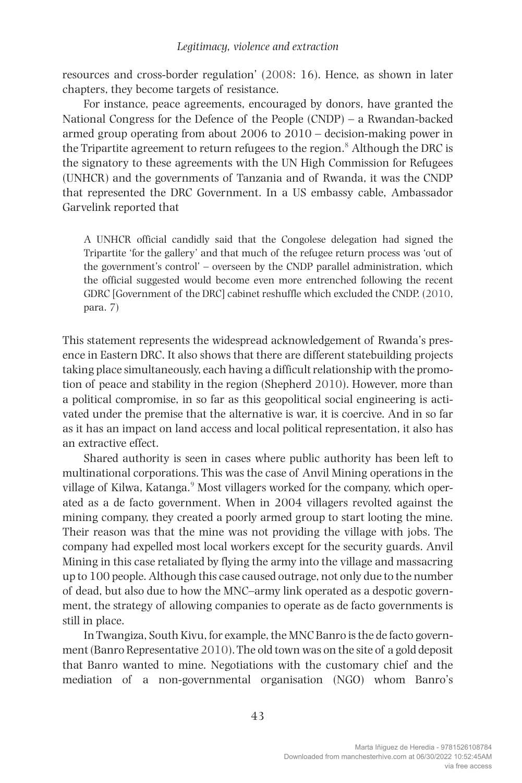resources and cross-border regulation' (2008: 16). Hence, as shown in later chapters, they become targets of resistance.

For instance, peace agreements, encouraged by donors, have granted the National Congress for the Defence of the People (CNDP) – a Rwandan-backed armed group operating from about 2006 to 2010 – decision-making power in the Tripartite agreement to return refugees to the region.<sup>8</sup> Although the DRC is the signatory to these agreements with the UN High Commission for Refugees (UNHCR) and the governments of Tanzania and of Rwanda, it was the CNDP that represented the DRC Government. In a US embassy cable, Ambassador Garvelink reported that

A UNHCR official candidly said that the Congolese delegation had signed the Tripartite 'for the gallery' and that much of the refugee return process was 'out of the government's control' – overseen by the CNDP parallel administration, which the official suggested would become even more entrenched following the recent GDRC [Government of the DRC] cabinet reshuffle which excluded the CNDP. (2010, para. 7)

This statement represents the widespread acknowledgement of Rwanda's presence in Eastern DRC. It also shows that there are different statebuilding projects taking place simultaneously, each having a difficult relationship with the promotion of peace and stability in the region (Shepherd 2010). However, more than a political compromise, in so far as this geopolitical social engineering is activated under the premise that the alternative is war, it is coercive. And in so far as it has an impact on land access and local political representation, it also has an extractive effect.

Shared authority is seen in cases where public authority has been left to multinational corporations. This was the case of Anvil Mining operations in the village of Kilwa, Katanga.<sup>9</sup> Most villagers worked for the company, which operated as a de facto government. When in 2004 villagers revolted against the mining company, they created a poorly armed group to start looting the mine. Their reason was that the mine was not providing the village with jobs. The company had expelled most local workers except for the security guards. Anvil Mining in this case retaliated by flying the army into the village and massacring up to 100 people. Although this case caused outrage, not only due to the number of dead, but also due to how the MNC–army link operated as a despotic government, the strategy of allowing companies to operate as de facto governments is still in place.

In Twangiza, South Kivu, for example, the MNC Banro is the de facto government (Banro Representative 2010). The old town was on the site of a gold deposit that Banro wanted to mine. Negotiations with the customary chief and the mediation of a non-governmental organisation (NGO) whom Banro's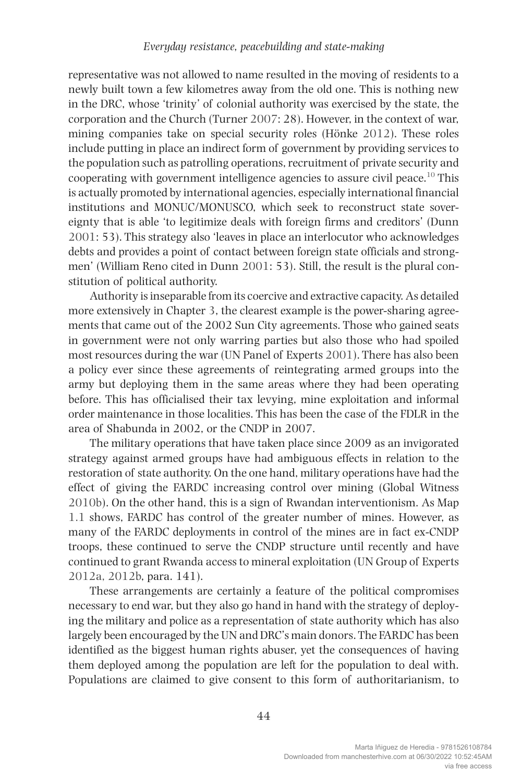representative was not allowed to name resulted in the moving of residents to a newly built town a few kilometres away from the old one. This is nothing new in the DRC, whose 'trinity' of colonial authority was exercised by the state, the corporation and the Church (Turner 2007: 28). However, in the context of war, mining companies take on special security roles (Hönke 2012). These roles include putting in place an indirect form of government by providing services to the population such as patrolling operations, recruitment of private security and cooperating with government intelligence agencies to assure civil peace.<sup>10</sup> This is actually promoted by international agencies, especially international financial institutions and MONUC/MONUSCO, which seek to reconstruct state sovereignty that is able 'to legitimize deals with foreign firms and creditors' (Dunn 2001: 53). This strategy also 'leaves in place an interlocutor who acknowledges debts and provides a point of contact between foreign state officials and strongmen' (William Reno cited in Dunn 2001: 53). Still, the result is the plural constitution of political authority.

Authority is inseparable from its coercive and extractive capacity. As detailed more extensively in Chapter 3, the clearest example is the power-sharing agreements that came out of the 2002 Sun City agreements. Those who gained seats in government were not only warring parties but also those who had spoiled most resources during the war (UN Panel of Experts 2001). There has also been a policy ever since these agreements of reintegrating armed groups into the army but deploying them in the same areas where they had been operating before. This has officialised their tax levying, mine exploitation and informal order maintenance in those localities. This has been the case of the FDLR in the area of Shabunda in 2002, or the CNDP in 2007.

The military operations that have taken place since 2009 as an invigorated strategy against armed groups have had ambiguous effects in relation to the restoration of state authority. On the one hand, military operations have had the effect of giving the FARDC increasing control over mining (Global Witness 2010b). On the other hand, this is a sign of Rwandan interventionism. As Map 1.1 shows, FARDC has control of the greater number of mines. However, as many of the FARDC deployments in control of the mines are in fact ex-CNDP troops, these continued to serve the CNDP structure until recently and have continued to grant Rwanda access to mineral exploitation (UN Group of Experts 2012a, 2012b, para. 141).

These arrangements are certainly a feature of the political compromises necessary to end war, but they also go hand in hand with the strategy of deploying the military and police as a representation of state authority which has also largely been encouraged by the UN and DRC's main donors. The FARDC has been identified as the biggest human rights abuser, yet the consequences of having them deployed among the population are left for the population to deal with. Populations are claimed to give consent to this form of authoritarianism, to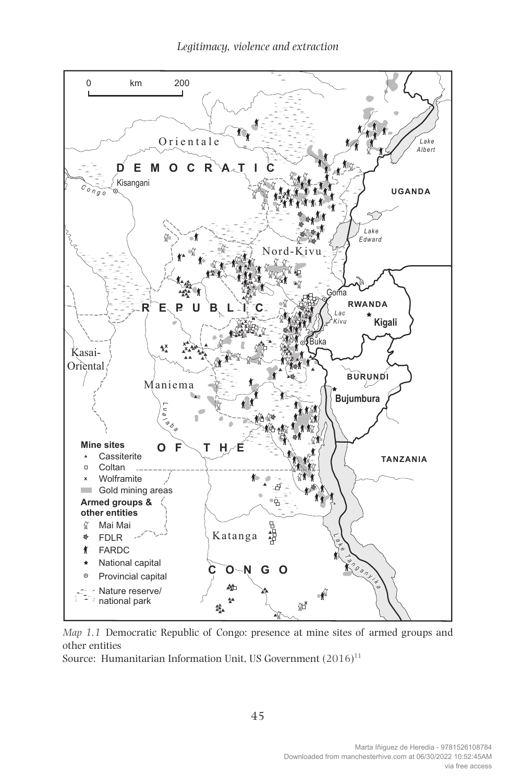

*Map 1.1* Democratic Republic of Congo: presence at mine sites of armed groups and other entities

Source: Humanitarian Information Unit, US Government  $(2016)^{11}$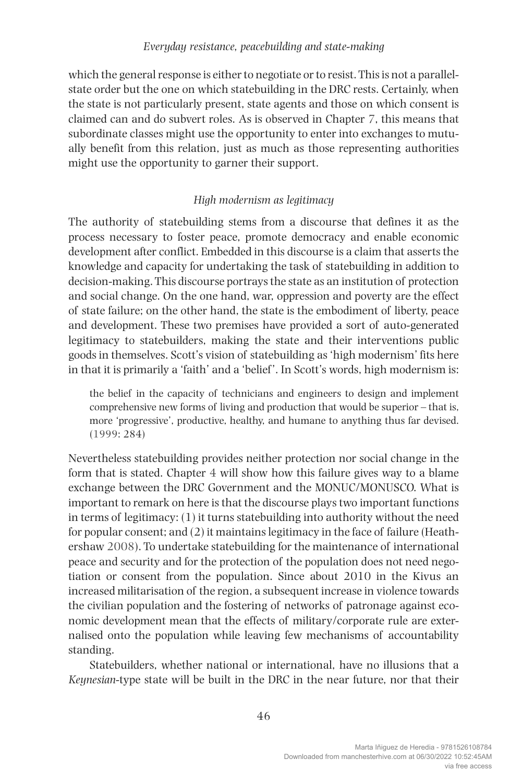which the general response is either to negotiate or to resist. This is not a parallelstate order but the one on which statebuilding in the DRC rests. Certainly, when the state is not particularly present, state agents and those on which consent is claimed can and do subvert roles. As is observed in Chapter 7, this means that subordinate classes might use the opportunity to enter into exchanges to mutually benefit from this relation, just as much as those representing authorities might use the opportunity to garner their support.

## *High modernism as legitimacy*

The authority of statebuilding stems from a discourse that defines it as the process necessary to foster peace, promote democracy and enable economic development after conflict. Embedded in this discourse is a claim that asserts the knowledge and capacity for undertaking the task of statebuilding in addition to decision-making. This discourse portrays the state as an institution of protection and social change. On the one hand, war, oppression and poverty are the effect of state failure; on the other hand, the state is the embodiment of liberty, peace and development. These two premises have provided a sort of auto-generated legitimacy to statebuilders, making the state and their interventions public goods in themselves. Scott's vision of statebuilding as 'high modernism' fits here in that it is primarily a 'faith' and a 'belief '. In Scott's words, high modernism is:

the belief in the capacity of technicians and engineers to design and implement comprehensive new forms of living and production that would be superior – that is, more 'progressive', productive, healthy, and humane to anything thus far devised. (1999: 284)

Nevertheless statebuilding provides neither protection nor social change in the form that is stated. Chapter 4 will show how this failure gives way to a blame exchange between the DRC Government and the MONUC/MONUSCO. What is important to remark on here is that the discourse plays two important functions in terms of legitimacy: (1) it turns statebuilding into authority without the need for popular consent; and (2) it maintains legitimacy in the face of failure (Heathershaw 2008). To undertake statebuilding for the maintenance of international peace and security and for the protection of the population does not need negotiation or consent from the population. Since about 2010 in the Kivus an increased militarisation of the region, a subsequent increase in violence towards the civilian population and the fostering of networks of patronage against economic development mean that the effects of military/corporate rule are externalised onto the population while leaving few mechanisms of accountability standing.

Statebuilders, whether national or international, have no illusions that a *Keynesian*-type state will be built in the DRC in the near future, nor that their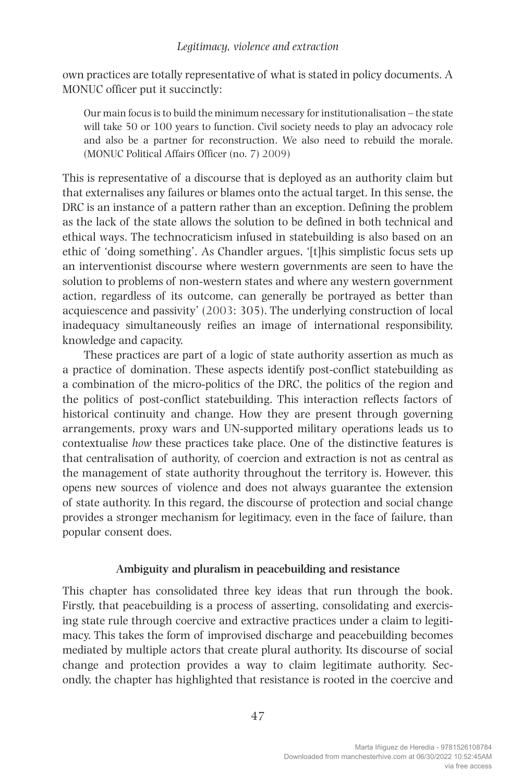own practices are totally representative of what is stated in policy documents. A MONUC officer put it succinctly:

Our main focus is to build the minimum necessary for institutionalisation – the state will take 50 or 100 years to function. Civil society needs to play an advocacy role and also be a partner for reconstruction. We also need to rebuild the morale. (MONUC Political Affairs Officer (no. 7) 2009)

This is representative of a discourse that is deployed as an authority claim but that externalises any failures or blames onto the actual target. In this sense, the DRC is an instance of a pattern rather than an exception. Defining the problem as the lack of the state allows the solution to be defined in both technical and ethical ways. The technocraticism infused in statebuilding is also based on an ethic of 'doing something'. As Chandler argues, '[t]his simplistic focus sets up an interventionist discourse where western governments are seen to have the solution to problems of non-western states and where any western government action, regardless of its outcome, can generally be portrayed as better than acquiescence and passivity' (2003: 305). The underlying construction of local inadequacy simultaneously reifies an image of international responsibility, knowledge and capacity.

These practices are part of a logic of state authority assertion as much as a practice of domination. These aspects identify post-conflict statebuilding as a combination of the micro-politics of the DRC, the politics of the region and the politics of post-conflict statebuilding. This interaction reflects factors of historical continuity and change. How they are present through governing arrangements, proxy wars and UN-supported military operations leads us to contextualise *how* these practices take place. One of the distinctive features is that centralisation of authority, of coercion and extraction is not as central as the management of state authority throughout the territory is. However, this opens new sources of violence and does not always guarantee the extension of state authority. In this regard, the discourse of protection and social change provides a stronger mechanism for legitimacy, even in the face of failure, than popular consent does.

#### **Ambiguity and pluralism in peacebuilding and resistance**

This chapter has consolidated three key ideas that run through the book. Firstly, that peacebuilding is a process of asserting, consolidating and exercising state rule through coercive and extractive practices under a claim to legitimacy. This takes the form of improvised discharge and peacebuilding becomes mediated by multiple actors that create plural authority. Its discourse of social change and protection provides a way to claim legitimate authority. Secondly, the chapter has highlighted that resistance is rooted in the coercive and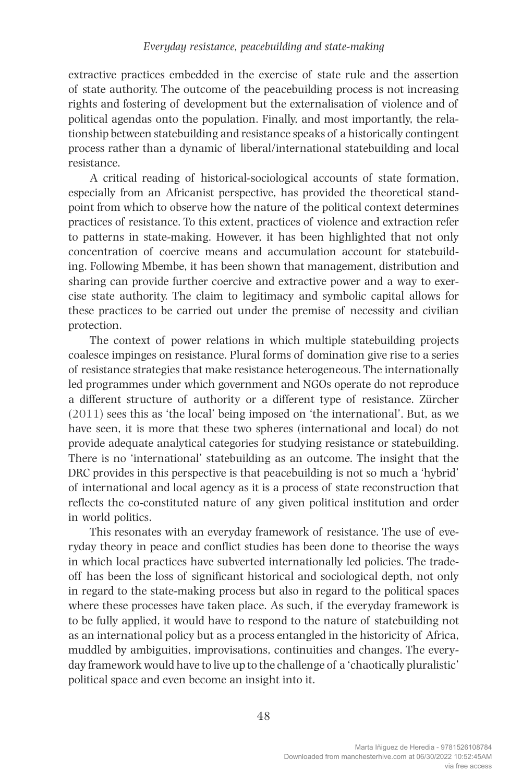extractive practices embedded in the exercise of state rule and the assertion of state authority. The outcome of the peacebuilding process is not increasing rights and fostering of development but the externalisation of violence and of political agendas onto the population. Finally, and most importantly, the relationship between statebuilding and resistance speaks of a historically contingent process rather than a dynamic of liberal/international statebuilding and local resistance.

A critical reading of historical-sociological accounts of state formation, especially from an Africanist perspective, has provided the theoretical standpoint from which to observe how the nature of the political context determines practices of resistance. To this extent, practices of violence and extraction refer to patterns in state-making. However, it has been highlighted that not only concentration of coercive means and accumulation account for statebuilding. Following Mbembe, it has been shown that management, distribution and sharing can provide further coercive and extractive power and a way to exercise state authority. The claim to legitimacy and symbolic capital allows for these practices to be carried out under the premise of necessity and civilian protection.

The context of power relations in which multiple statebuilding projects coalesce impinges on resistance. Plural forms of domination give rise to a series of resistance strategies that make resistance heterogeneous. The internationally led programmes under which government and NGOs operate do not reproduce a different structure of authority or a different type of resistance. Zürcher (2011) sees this as 'the local' being imposed on 'the international'. But, as we have seen, it is more that these two spheres (international and local) do not provide adequate analytical categories for studying resistance or statebuilding. There is no 'international' statebuilding as an outcome. The insight that the DRC provides in this perspective is that peacebuilding is not so much a 'hybrid' of international and local agency as it is a process of state reconstruction that reflects the co-constituted nature of any given political institution and order in world politics.

This resonates with an everyday framework of resistance. The use of everyday theory in peace and conflict studies has been done to theorise the ways in which local practices have subverted internationally led policies. The tradeoff has been the loss of significant historical and sociological depth, not only in regard to the state-making process but also in regard to the political spaces where these processes have taken place. As such, if the everyday framework is to be fully applied, it would have to respond to the nature of statebuilding not as an international policy but as a process entangled in the historicity of Africa, muddled by ambiguities, improvisations, continuities and changes. The everyday framework would have to live up to the challenge of a 'chaotically pluralistic' political space and even become an insight into it.